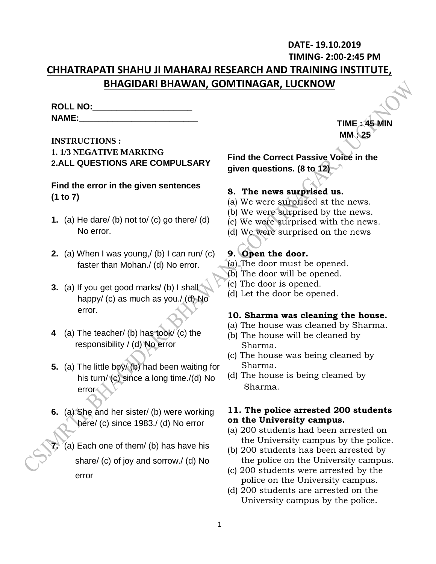# **DATE- 19.10.2019**

**TIMING- 2:00-2:45 PM**

 **TIME : 45 MIN MM : 25**

# **CHHATRAPATI SHAHU JI MAHARAJ RESEARCH AND TRAINING INSTITUTE, BHAGIDARI BHAWAN, GOMTINAGAR, LUCKNOW**

| <b>ROLL NO:</b> |  |
|-----------------|--|
| <b>NAME:</b>    |  |

# **INSTRUCTIONS : 1. 1/3 NEGATIVE MARKING 2.ALL QUESTIONS ARE COMPULSARY**

# **Find the error in the given sentences (1 to 7)**

- **1.** (a) He dare/ (b) not to/ (c) go there/ (d) No error.
- **2.** (a) When I was young,/ (b) I can run/ (c) faster than Mohan./ (d) No error.
- **3.** (a) If you get good marks/ (b) I shall happy/ (c) as much as you./ (d) No error.
- **4** (a) The teacher/ (b) has took/ (c) the responsibility / (d) No error
- **5.** (a) The little boy/ (b) had been waiting for his turn/ (c) since a long time./(d) No error
- **6.** (a) She and her sister/ (b) were working here/ (c) since 1983./ (d) No error
	- **7.** (a) Each one of them/ (b) has have his share/ (c) of joy and sorrow./ (d) No error

**Find the Correct Passive Voice in the given questions. (8 to 12)**

# **8. The news surprised us.**

- (a) We were surprised at the news.
- (b) We were surprised by the news.
- (c) We were surprised with the news.
- (d) We were surprised on the news

# **9. Open the door.**

- (a) The door must be opened.
- (b) The door will be opened.
- (c) The door is opened.
- (d) Let the door be opened.

### **10. Sharma was cleaning the house.**

- (a) The house was cleaned by Sharma.
- (b) The house will be cleaned by Sharma.
- (c) The house was being cleaned by Sharma.
- (d) The house is being cleaned by Sharma.

### **11. The police arrested 200 students on the University campus.**

- (a) 200 students had been arrested on the University campus by the police.
- (b) 200 students has been arrested by the police on the University campus.
- (c) 200 students were arrested by the police on the University campus.
- (d) 200 students are arrested on the University campus by the police.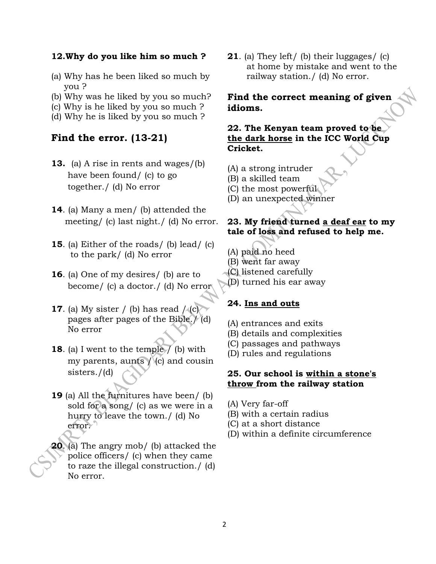#### **12.Why do you like him so much ?**

- (a) Why has he been liked so much by you ?
- (b) Why was he liked by you so much?
- (c) Why is he liked by you so much ?
- (d) Why he is liked by you so much ?

## **Find the error. (13-21)**

- **13.** (a) A rise in rents and wages/(b) have been found/ (c) to go together./ (d) No error
- **14**. (a) Many a men/ (b) attended the meeting/ (c) last night./ (d) No error.
- **15**. (a) Either of the roads/ (b) lead/ (c) to the park/ (d) No error
- **16**. (a) One of my desires/ (b) are to become/ (c) a doctor./ (d) No error
- **17.** (a) My sister / (b) has read  $/(c)$  pages after pages of the Bible./ (d) No error
- **18.** (a) I went to the temple  $\overline{7}$  (b) with my parents, aunts  $/$  (c) and cousin sisters./(d)
- **19** (a) All the furnitures have been/ (b) sold for a song/ (c) as we were in a hurry to leave the town./ (d) No error.
- **20**. (a) The angry mob/ (b) attacked the police officers/ (c) when they came to raze the illegal construction./ (d) No error.

**21**. (a) They left/ (b) their luggages/ (c) at home by mistake and went to the railway station./ (d) No error.

### **Find the correct meaning of given idioms.**

### **22. The Kenyan team proved to be the dark horse in the ICC World Cup Cricket.**

- (A) a strong intruder
- (B) a skilled team
- (C) the most powerful
- (D) an unexpected winner

### **23. My friend turned a deaf ear to my tale of loss and refused to help me.**

- (A) paid no heed
- (B) went far away
- (C) listened carefully
- (D) turned his ear away

#### **24. Ins and outs**

- (A) entrances and exits
- (B) details and complexities
- (C) passages and pathways
- (D) rules and regulations

#### **25. Our school is within a stone's throw from the railway station**

- (A) Very far-off
- (B) with a certain radius
- (C) at a short distance
- (D) within a definite circumference